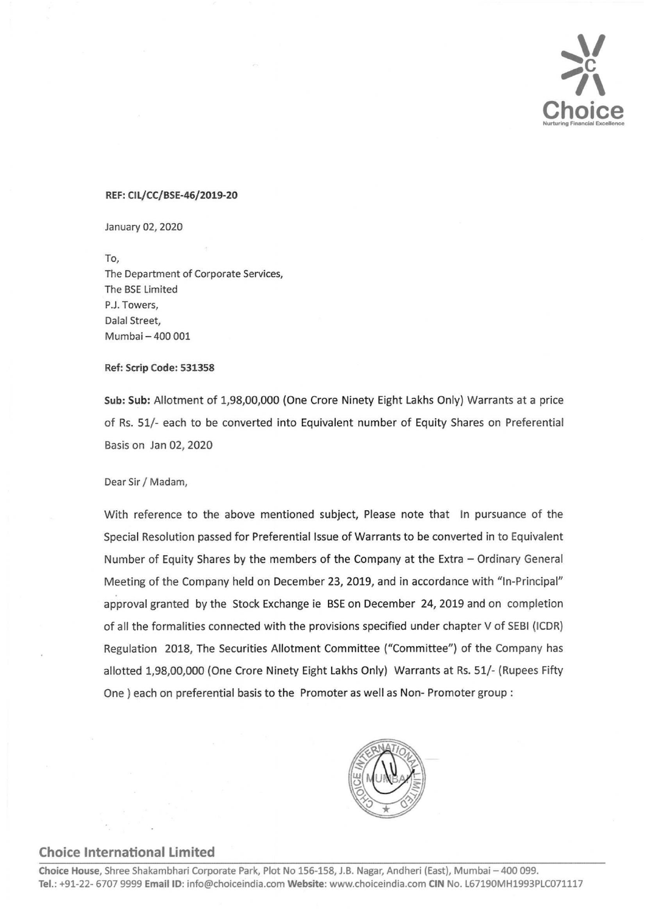

## REF: CIL/CC/BSE-46/2019-20

January 02, 2020

To, The Department of Corporate Services, The BSE Limited P.J. Towers, Dalal Street, Mumbai — 400 001

## Ref: Scrip Code: 531358

Sub: Sub: Allotment of 1,98,00,000 (One Crore Ninety Eight Lakhs Only) Warrants at a price of Rs. 51/- each to be converted into Equivalent number of Equity Shares on Preferential Basis on Jan 02, 2020

Dear Sir / Madam,

With reference to the above mentioned subject, Please note that In pursuance of the Special Resolution passed for Preferential Issue of Warrants to be converted in to Equivalent Number of Equity Shares by the members of the Company at the Extra — Ordinary General Meeting of the Company held on December 23, 2019, and in accordance with "In-Principal" approval granted by the Stock Exchange ie BSE on December 24, 2019 and on completion of all the formalities connected with the provisions specified under chapter V of SEBI (ICDR) Regulation 2018, The Securities Allotment Committee ("Committee") of the Company has allotted 1,98,00,000 (One Crore Ninety Eight Lakhs Only) Warrants at Rs. 51/- (Rupees Fifty One ) each on preferential basis to the Promoter as well as Non- Promoter group : MRF: CH/CC/1854-44/2019-20<br>
MRF: CH/CC/1854-44/2019-20<br>
Tro,<br>
The logarithment of Corporate Services,<br>
The Disconsister of Corporate Services,<br>
The Disconsister of Corporate Services,<br>
The Disconsister of Corporations (19



## Choice International Limited